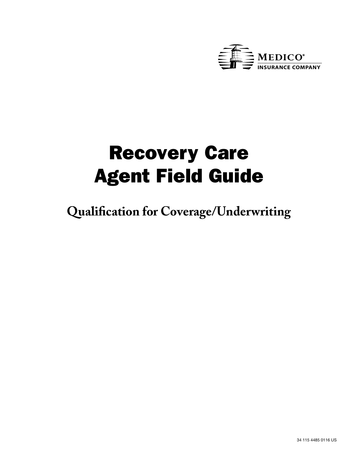

# Recovery Care Agent Field Guide

**Qualification for Coverage/Underwriting**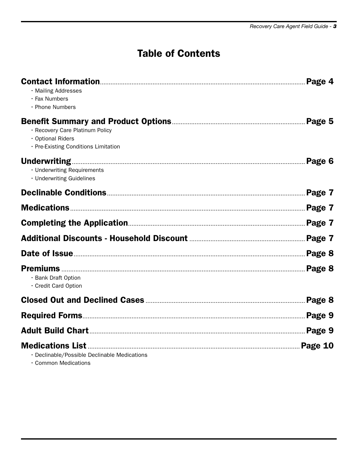# **Table of Contents**

| · Mailing Addresses<br>· Fax Numbers<br>· Phone Numbers                                      | Page 4  |
|----------------------------------------------------------------------------------------------|---------|
| · Recovery Care Platinum Policy<br>· Optional Riders<br>· Pre-Existing Conditions Limitation | Page 5  |
| · Underwriting Requirements<br>· Underwriting Guidelines                                     | Page 6  |
|                                                                                              | Page 7  |
|                                                                                              | Page 7  |
|                                                                                              | Page 7  |
|                                                                                              |         |
|                                                                                              | Page 8  |
| · Bank Draft Option<br>· Credit Card Option                                                  | Page 8  |
|                                                                                              | Page 8  |
|                                                                                              |         |
|                                                                                              |         |
| · Declinable/Possible Declinable Medications                                                 | Page 10 |

• Common Medications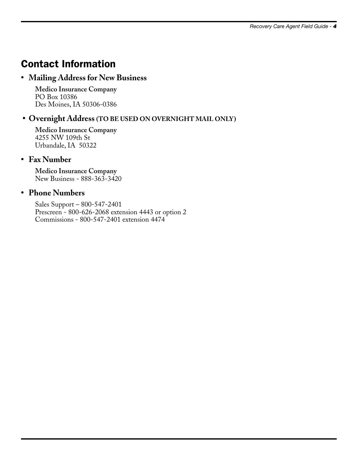# Contact Information

#### **• Mailing Address for New Business**

**Medico Insurance Company** PO Box 10386 Des Moines, IA 50306-0386

#### **• Overnight Address (TO BE USED ON OVERNIGHT MAIL ONLY )**

**Medico Insurance Company**  4255 NW 109th St Urbandale, IA 50322

#### **• Fax Number**

**Medico Insurance Company**  New Business - 888-363-3420

#### **• Phone Numbers**

Sales Support – 800-547-2401 Prescreen - 800-626-2068 extension 4443 or option 2 Commissions - 800-547-2401 extension 4474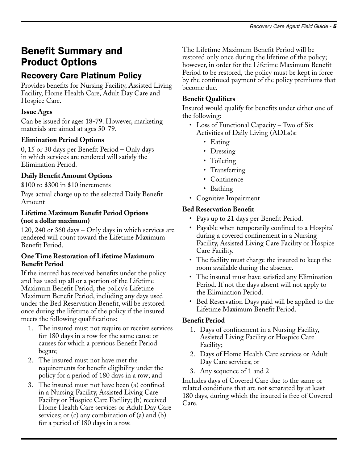# Benefit Summary and Product Options

# Recovery Care Platinum Policy

Provides benefits for Nursing Facility, Assisted Living Facility, Home Health Care, Adult Day Care and Hospice Care.

# **Issue Ages**

Can be issued for ages 18-79. However, marketing materials are aimed at ages 50-79.

### **Elimination Period Options**

0, 15 or 30 days per Benefit Period – Only days in which services are rendered will satisfy the Elimination Period.

### **Daily Benefit Amount Options**

\$100 to \$300 in \$10 increments

Pays actual charge up to the selected Daily Benefit Amount

#### **Lifetime Maximum Benefit Period Options (not a dollar maximum)**

120, 240 or 360 days – Only days in which services are rendered will count toward the Lifetime Maximum Benefit Period.

#### **One Time Restoration of Lifetime Maximum Benefit Period**

If the insured has received benefits under the policy and has used up all or a portion of the Lifetime Maximum Benefit Period, the policy's Lifetime Maximum Benefit Period, including any days used under the Bed Reservation Benefit, will be restored once during the lifetime of the policy if the insured meets the following qualifications:

- 1. The insured must not require or receive services for 180 days in a row for the same cause or causes for which a previous Benefit Period began;
- 2. The insured must not have met the requirements for benefit eligibility under the policy for a period of 180 days in a row; and
- 3. The insured must not have been (a) confined in a Nursing Facility, Assisted Living Care Facility or Hospice Care Facility; (b) received Home Health Care services or Adult Day Care services; or (c) any combination of (a) and (b) for a period of 180 days in a row.

The Lifetime Maximum Benefit Period will be restored only once during the lifetime of the policy; however, in order for the Lifetime Maximum Benefit Period to be restored, the policy must be kept in force by the continued payment of the policy premiums that become due.

### **Benefit Qualifiers**

Insured would qualify for benefits under either one of the following:

- Loss of Functional Capacity Two of Six Activities of Daily Living (ADLs)s:
	- Eating
	- Dressing
	- Toileting
	- Transferring
	- Continence
	- Bathing
- Cognitive Impairment

### **Bed Reservation Benefit**

- Pays up to 21 days per Benefit Period.
- Payable when temporarily confined to a Hospital during a covered confinement in a Nursing Facility, Assisted Living Care Facility or Hospice Care Facility.
- The facility must charge the insured to keep the room available during the absence.
- The insured must have satisfied any Elimination Period. If not the days absent will not apply to the Elimination Period.
- Bed Reservation Days paid will be applied to the Lifetime Maximum Benefit Period.

### **Benefit Period**

- 1. Days of confinement in a Nursing Facility, Assisted Living Facility or Hospice Care Facility;
- 2. Days of Home Health Care services or Adult Day Care services; or
- 3. Any sequence of 1 and 2

Includes days of Covered Care due to the same or related conditions that are not separated by at least 180 days, during which the insured is free of Covered Care.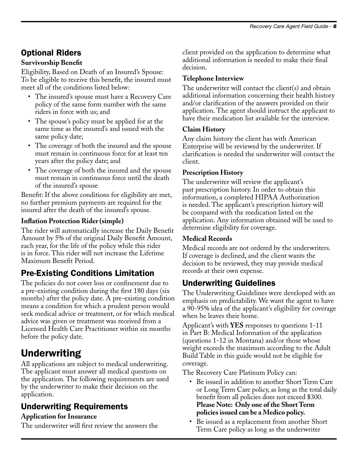# Optional Riders

#### **Survivorship Benefit**

Eligibility, Based on Death of an Insured's Spouse: To be eligible to receive this benefit, the insured must meet all of the conditions listed below:

- The insured's spouse must have a Recovery Care policy of the same form number with the same riders in force with us; and
- The spouse's policy must be applied for at the same time as the insured's and issued with the same policy date;
- The coverage of both the insured and the spouse must remain in continuous force for at least ten years after the policy date; and
- The coverage of both the insured and the spouse must remain in continuous force until the death of the insured's spouse

Benefit: If the above conditions for eligibility are met, no further premium payments are required for the insured after the death of the insured's spouse.

#### **Inflation Protection Rider (simple)**

The rider will automatically increase the Daily Benefit Amount by 5% of the original Daily Benefit Amount, each year, for the life of the policy while this rider is in force. This rider will not increase the Lifetime Maximum Benefit Period.

# Pre-Existing Conditions Limitation

The policies do not cover loss or confinement due to a pre-existing condition during the first 180 days (six months) after the policy date. A pre-existing condition means a condition for which a prudent person would seek medical advice or treatment, or for which medical advice was given or treatment was received from a Licensed Health Care Practitioner within six months before the policy date.

# Underwriting

All applications are subject to medical underwriting. The applicant must answer all medical questions on the application. The following requirements are used by the underwriter to make their decision on the application.

# Underwriting Requirements

#### **Application for Insurance**

The underwriter will first review the answers the

client provided on the application to determine what additional information is needed to make their final decision.

#### **Telephone Interview**

The underwriter will contact the client(s) and obtain additional information concerning their health history and/or clarification of the answers provided on their application. The agent should instruct the applicant to have their medication list available for the interview.

#### **Claim History**

Any claim history the client has with American Enterprise will be reviewed by the underwriter. If clarification is needed the underwriter will contact the client.

#### **Prescription History**

The underwriter will review the applicant's past prescription history. In order to obtain this information, a completed HIPAA Authorization is needed. The applicant's prescription history will be compared with the medication listed on the application. Any information obtained will be used to determine eligibility for coverage.

#### **Medical Records**

Medical records are not ordered by the underwriters. If coverage is declined, and the client wants the decision to be reviewed, they may provide medical records at their own expense.

### Underwriting Guidelines

The Underwriting Guidelines were developed with an emphasis on predictability. We want the agent to have a 90-95% idea of the applicant's eligibility for coverage when he leaves their home.

Applicant's with **YES** responses to questions 1-11 in Part B: Medical Information of the application (questions 1-12 in Montana) and/or those whose weight exceeds the maximum according to the Adult Build Table in this guide would not be eligible for coverage.

The Recovery Care Platinum Policy can:

- Be issued in addition to another Short Term Care or Long Term Care policy, as long as the total daily benefit from all policies does not exceed \$300. **Please Note: Only one of the Short Term policies issued can be a Medico policy.**
- Be issued as a replacement from another Short Term Care policy as long as the underwriter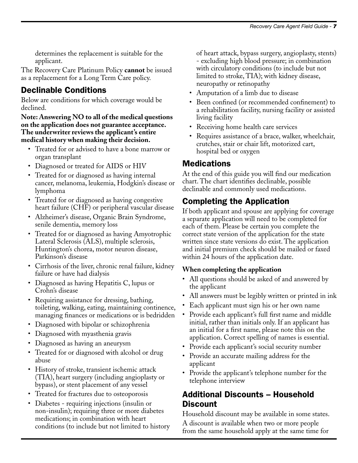determines the replacement is suitable for the applicant.

The Recovery Care Platinum Policy **cannot** be issued as a replacement for a Long Term Care policy.

# Declinable Conditions

Below are conditions for which coverage would be declined.

#### **Note: Answering NO to all of the medical questions on the application does not guarantee acceptance. The underwriter reviews the applicant's entire medical history when making their decision.**

- Treated for or advised to have a bone marrow or organ transplant
- Diagnosed or treated for AIDS or HIV
- Treated for or diagnosed as having internal cancer, melanoma, leukemia, Hodgkin's disease or lymphoma
- Treated for or diagnosed as having congestive heart failure (CHF) or peripheral vascular disease
- Alzheimer's disease, Organic Brain Syndrome, senile dementia, memory loss
- Treated for or diagnosed as having Amyotrophic Lateral Sclerosis (ALS), multiple sclerosis, Huntington's chorea, motor neuron disease, Parkinson's disease
- Cirrhosis of the liver, chronic renal failure, kidney failure or have had dialysis
- Diagnosed as having Hepatitis C, lupus or Crohn's disease
- Requiring assistance for dressing, bathing, toileting, walking, eating, maintaining continence, managing finances or medications or is bedridden
- Diagnosed with bipolar or schizophrenia
- Diagnosed with myasthenia gravis
- Diagnosed as having an aneurysm
- Treated for or diagnosed with alcohol or drug abuse
- History of stroke, transient ischemic attack (TIA), heart surgery (including angioplasty or bypass), or stent placement of any vessel
- Treated for fractures due to osteoporosis
- Diabetes requiring injections (insulin or non-insulin); requiring three or more diabetes medications; in combination with heart conditions (to include but not limited to history

of heart attack, bypass surgery, angioplasty, stents) - excluding high blood pressure; in combination with circulatory conditions (to include but not limited to stroke, TIA); with kidney disease, neuropathy or retinopathy

- Amputation of a limb due to disease
- Been confined (or recommended confinement) to a rehabilitation facility, nursing facility or assisted living facility
- Receiving home health care services
- Requires assistance of a brace, walker, wheelchair, crutches, stair or chair lift, motorized cart, hospital bed or oxygen

### Medications

At the end of this guide you will find our medication chart. The chart identifies declinable, possible declinable and commonly used medications.

# Completing the Application

If both applicant and spouse are applying for coverage a separate application will need to be completed for each of them. Please be certain you complete the correct state version of the application for the state written since state versions do exist. The application and initial premium check should be mailed or faxed within 24 hours of the application date.

#### **When completing the application**

- All questions should be asked of and answered by the applicant
- All answers must be legibly written or printed in ink
- Each applicant must sign his or her own name
- Provide each applicant's full first name and middle initial, rather than initials only. If an applicant has an initial for a first name, please note this on the application. Correct spelling of names is essential.
- Provide each applicant's social security number
- Provide an accurate mailing address for the applicant
- Provide the applicant's telephone number for the telephone interview

### Additional Discounts – Household Discount

Household discount may be available in some states.

A discount is available when two or more people from the same household apply at the same time for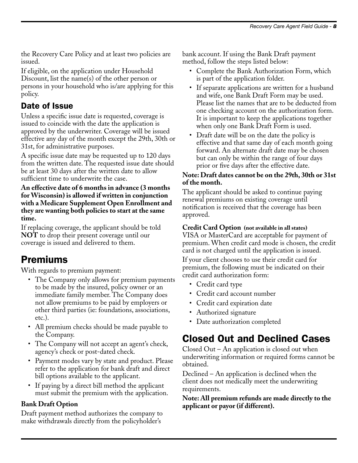the Recovery Care Policy and at least two policies are issued.

If eligible, on the application under Household Discount, list the name(s) of the other person or persons in your household who is/are applying for this policy.

# Date of Issue

Unless a specific issue date is requested, coverage is issued to coincide with the date the application is approved by the underwriter. Coverage will be issued effective any day of the month except the 29th, 30th or 31st, for administrative purposes.

A specific issue date may be requested up to 120 days from the written date. The requested issue date should be at least 30 days after the written date to allow sufficient time to underwrite the case.

#### **An effective date of 6 months in advance (3 months for Wisconsin) is allowed if written in conjunction with a Medicare Supplement Open Enrollment and they are wanting both policies to start at the same time.**

If replacing coverage, the applicant should be told **NOT** to drop their present coverage until our coverage is issued and delivered to them.

# Premiums

With regards to premium payment:

- The Company only allows for premium payments to be made by the insured, policy owner or an immediate family member. The Company does not allow premiums to be paid by employers or other third parties (ie: foundations, associations, etc.).
- All premium checks should be made payable to the Company.
- The Company will not accept an agent's check, agency's check or post-dated check.
- Payment modes vary by state and product. Please refer to the application for bank draft and direct bill options available to the applicant.
- If paying by a direct bill method the applicant must submit the premium with the application.

#### **Bank Draft Option**

Draft payment method authorizes the company to make withdrawals directly from the policyholder's

bank account. If using the Bank Draft payment method, follow the steps listed below:

- Complete the Bank Authorization Form, which is part of the application folder.
- If separate applications are written for a husband and wife, one Bank Draft Form may be used. Please list the names that are to be deducted from one checking account on the authorization form. It is important to keep the applications together when only one Bank Draft Form is used.
- Draft date will be on the date the policy is effective and that same day of each month going forward. An alternate draft date may be chosen but can only be within the range of four days prior or five days after the effective date.

#### **Note: Draft dates cannot be on the 29th, 30th or 31st of the month.**

The applicant should be asked to continue paying renewal premiums on existing coverage until notification is received that the coverage has been approved.

### **Credit Card Option (not available in all states)**

VISA or MasterCard are acceptable for payment of premium. When credit card mode is chosen, the credit card is not charged until the application is issued.

If your client chooses to use their credit card for premium, the following must be indicated on their credit card authorization form:

- Credit card type
- Credit card account number
- Credit card expiration date
- Authorized signature
- Date authorization completed

# Closed Out and Declined Cases

Closed Out – An application is closed out when underwriting information or required forms cannot be obtained.

Declined – An application is declined when the client does not medically meet the underwriting requirements.

**Note: All premium refunds are made directly to the applicant or payor (if different).**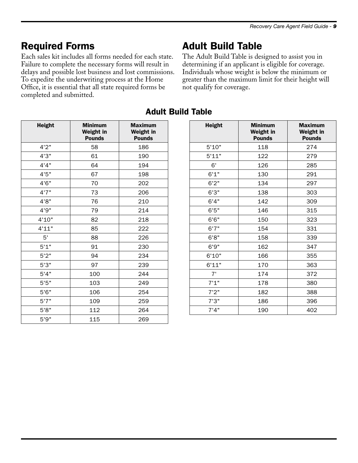# Required Forms

Each sales kit includes all forms needed for each state. Failure to complete the necessary forms will result in delays and possible lost business and lost commissions. To expedite the underwriting process at the Home Office, it is essential that all state required forms be completed and submitted.

# Adult Build Table

The Adult Build Table is designed to assist you in determining if an applicant is eligible for coverage. Individuals whose weight is below the minimum or greater than the maximum limit for their height will not qualify for coverage.

| <b>Height</b> | <b>Minimum</b><br>Weight in<br><b>Pounds</b> | <b>Maximum</b><br>Weight in<br><b>Pounds</b> |
|---------------|----------------------------------------------|----------------------------------------------|
| 4'2"          | 58                                           | 186                                          |
| 4'3"          | 61                                           | 190                                          |
| 4'4"          | 64                                           | 194                                          |
| 4'5''         | 67                                           | 198                                          |
| 4'6"          | 70                                           | 202                                          |
| 4'7''         | 73                                           | 206                                          |
| 4'8"          | 76                                           | 210                                          |
| 4'9"          | 79                                           | 214                                          |
| 4'10"         | 82                                           | 218                                          |
| 4'11"         | 85                                           | 222                                          |
| 5'            | 88                                           | 226                                          |
| 5'1"          | 91                                           | 230                                          |
| 5'2"          | 94                                           | 234                                          |
| 5'3''         | 97                                           | 239                                          |
| 5'4"          | 100                                          | 244                                          |
| 5'5''         | 103                                          | 249                                          |
| 5'6''         | 106                                          | 254                                          |
| 5'7''         | 109                                          | 259                                          |
| 5'8"          | 112                                          | 264                                          |
| 5'9''         | 115                                          | 269                                          |

# Adult Build Table

| <b>Height</b> | <b>Minimum</b><br>Weight in<br><b>Pounds</b> | <b>Maximum</b><br>Weight in<br><b>Pounds</b> |
|---------------|----------------------------------------------|----------------------------------------------|
| 5'10"         | 118                                          | 274                                          |
| 5'11"         | 122                                          | 279                                          |
| 6'            | 126                                          | 285                                          |
| 6'1"          | 130                                          | 291                                          |
| 6'2''         | 134                                          | 297                                          |
| 6'3''         | 138                                          | 303                                          |
| 6'4"          | 142                                          | 309                                          |
| 6'5''         | 146                                          | 315                                          |
| 6'6''         | 150                                          | 323                                          |
| 6'7''         | 154                                          | 331                                          |
| 6'8"          | 158                                          | 339                                          |
| 6'9''         | 162                                          | 347                                          |
| 6'10"         | 166                                          | 355                                          |
| 6'11"         | 170                                          | 363                                          |
| 7'            | 174                                          | 372                                          |
| 7'1"          | 178                                          | 380                                          |
| 7'2"          | 182                                          | 388                                          |
| 7'3''         | 186                                          | 396                                          |
| 7'4''         | 190                                          | 402                                          |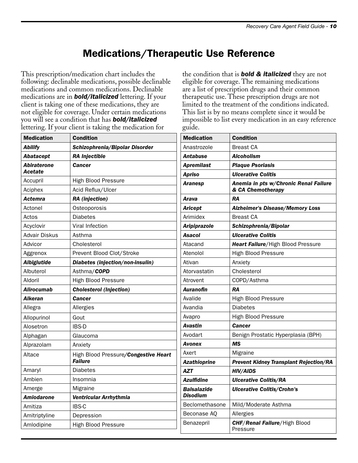# Medications/Therapeutic Use Reference

This prescription/medication chart includes the following: declinable medications, possible declinable medications and common medications. Declinable medications are in *bold/italicized* lettering. If your client is taking one of these medications, they are not eligible for coverage. Under certain medications you will see a condition that has *bold/italicized* lettering. If your client is taking the medication for

| <b>Medication</b>      | <b>Condition</b>                                       |  |
|------------------------|--------------------------------------------------------|--|
| Abilify                | Schizophrenia/Bipolar Disorder                         |  |
| Abatacept              | <b>RA Injectible</b>                                   |  |
| Abiraterone<br>Acetate | <b>Cancer</b>                                          |  |
| Accupril               | <b>High Blood Pressure</b>                             |  |
| Aciphex                | Acid Reflux/Ulcer                                      |  |
| Actemra                | RA (injection)                                         |  |
| Actonel                | Osteoporosis                                           |  |
| Actos                  | Diabetes                                               |  |
| Acyclovir              | <b>Viral Infection</b>                                 |  |
| Advair Diskus          | Asthma                                                 |  |
| Advicor                | Cholesterol                                            |  |
| Aggrenox               | Prevent Blood Clot/Stroke                              |  |
| <b>Albiglutide</b>     | Diabetes (injection/non-insulin)                       |  |
| Albuterol              | Asthma/COPD                                            |  |
| Aldoril                | <b>High Blood Pressure</b>                             |  |
| Alirocumab             | <b>Cholesterol (Injection)</b>                         |  |
| Alkeran                | Cancer                                                 |  |
| Allegra                | Allergies                                              |  |
| Allopurinol            | Gout                                                   |  |
| Alosetron              | <b>IBS-D</b>                                           |  |
| Alphagan               | Glaucoma                                               |  |
| Alprazolam             | Anxiety                                                |  |
| Altace                 | High Blood Pressure/Congestive Heart<br><b>Failure</b> |  |
| Amaryl                 | Diabetes                                               |  |
| Ambien                 | Insomnia                                               |  |
| Amerge                 | <b>Migraine</b>                                        |  |
| <b>Amiodarone</b>      | Ventricular Arrhythmia                                 |  |
| Amitiza                | <b>IBS-C</b>                                           |  |
| Amitriptyline          | Depression                                             |  |
| Amlodipine             | <b>High Blood Pressure</b>                             |  |

the condition that is *bold & italicized* they are not eligible for coverage. The remaining medications are a list of prescription drugs and their common therapeutic use. These prescription drugs are not limited to the treatment of the conditions indicated. This list is by no means complete since it would be impossible to list every medication in an easy reference guide.

| <b>Medication</b>              | <b>Condition</b>                                           |
|--------------------------------|------------------------------------------------------------|
| Anastrozole                    | <b>Breast CA</b>                                           |
| Antabuse                       | <b>Alcoholism</b>                                          |
| <b>Apremilast</b>              | <b>Plaque Psoriasis</b>                                    |
| Apriso                         | <b>Ulcerative Colitis</b>                                  |
| Aranesp                        | Anemia in pts w/Chronic Renal Failure<br>& CA Chemotherapy |
| Arava                          | RA                                                         |
| <b>Aricept</b>                 | <b>Alzheimer's Disease/Memory Loss</b>                     |
| Arimidex                       | <b>Breast CA</b>                                           |
| <b>Aripiprazole</b>            | Schizophrenia/Bipolar                                      |
| Asacol                         | <b>Ulcerative Colitis</b>                                  |
| Atacand                        | Heart Failure/High Blood Pressure                          |
| Atenolol                       | High Blood Pressure                                        |
| Ativan                         | Anxiety                                                    |
| Atorvastatin                   | Cholesterol                                                |
| Atrovent                       | COPD/Asthma                                                |
| <b>Auranofin</b>               | <b>RA</b>                                                  |
| Avalide                        | <b>High Blood Pressure</b>                                 |
| Avandia                        | <b>Diabetes</b>                                            |
| Avapro                         | <b>High Blood Pressure</b>                                 |
| Avastin                        | <b>Cancer</b>                                              |
| Avodart                        | Benign Prostatic Hyperplasia (BPH)                         |
| Avonex                         | MS                                                         |
| Axert                          | Migraine                                                   |
| <b>Azathioprine</b>            | <b>Prevent Kidney Transplant Rejection/RA</b>              |
| <b>AZT</b>                     | <b>HIV/AIDS</b>                                            |
| <b>Azulfidine</b>              | <b>Ulcerative Colitis/RA</b>                               |
| <b>Balsalazide</b><br>Disodium | <b>Ulcerative Colitis/Crohn's</b>                          |
| Beclomethasone                 | Mild/Moderate Asthma                                       |
| Beconase AQ                    | Allergies                                                  |
| Benazepril                     | CHF/Renal Failure/High Blood<br>Pressure                   |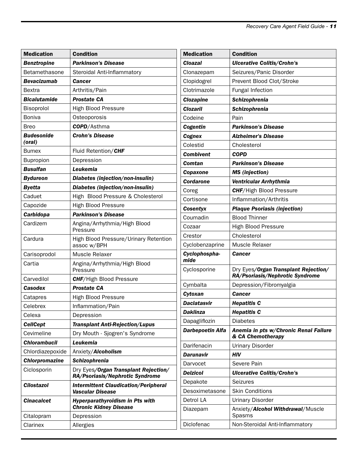| <b>Medication</b>     | <b>Condition</b>                                                        | <b>Medication</b>     | <b>Condition</b>                                           |
|-----------------------|-------------------------------------------------------------------------|-----------------------|------------------------------------------------------------|
| <b>Benztropine</b>    | <b>Parkinson's Disease</b>                                              | <b>Cloazal</b>        | <b>Ulcerative Colitis/Crohn's</b>                          |
| Betamethasone         | Steroidal Anti-Inflammatory                                             | Clonazepam            | Seizures/Panic Disorder                                    |
| <b>Bevacizumab</b>    | Cancer                                                                  | Clopidogrel           | Prevent Blood Clot/Stroke                                  |
| <b>Bextra</b>         | Arthritis/Pain                                                          | Clotrimazole          | Fungal Infection                                           |
| <b>Bicalutamide</b>   | <b>Prostate CA</b>                                                      | <b>Clozapine</b>      | Schizophrenia                                              |
| Bisoprolol            | <b>High Blood Pressure</b>                                              | <b>Clozaril</b>       | <b>Schizophrenia</b>                                       |
| <b>Boniva</b>         | Osteoporosis                                                            | Codeine               | Pain                                                       |
| <b>Breo</b>           | <b>COPD</b> /Asthma                                                     | Cogentin              | <b>Parkinson's Disease</b>                                 |
| <b>Budesonide</b>     | <b>Crohn's Disease</b>                                                  | Cognex                | <b>Alzheimer's Disease</b>                                 |
| (oral)                |                                                                         | Colestid              | Cholesterol                                                |
| <b>Bumex</b>          | Fluid Retention/CHF                                                     | <b>Combivent</b>      | <b>COPD</b>                                                |
| Bupropion             | Depression                                                              | Comtan                | <b>Parkinson's Disease</b>                                 |
| <b>Busulfan</b>       | Leukemia                                                                | Copaxone              | <b>MS</b> (injection)                                      |
| <b>Bydureon</b>       | Diabetes (injection/non-insulin)                                        | <b>Cordarone</b>      | Ventricular Arrhythmia                                     |
| <b>Byetta</b>         | Diabetes (injection/non-insulin)                                        | Coreg                 | <b>CHF/High Blood Pressure</b>                             |
| Caduet                | High Blood Pressure & Cholesterol                                       | Cortisone             | Inflammation/Arthritis                                     |
| Capozide              | <b>High Blood Pressure</b>                                              | <b>Cosentyx</b>       | <b>Plaque Psoriasis (injection)</b>                        |
| Carbidopa             | <b>Parkinson's Disease</b>                                              | Coumadin              | <b>Blood Thinner</b>                                       |
| Cardizem              | Angina/Arrhythmia/High Blood                                            | Cozaar                | <b>High Blood Pressure</b>                                 |
|                       | Pressure                                                                | Crestor               | Cholesterol                                                |
| Cardura               | High Blood Pressure/Urinary Retention<br>assoc w/BPH                    | Cyclobenzaprine       | Muscle Relaxer                                             |
| Carisoprodol          | Muscle Relaxer                                                          | Cyclophospha-<br>mide | <b>Cancer</b>                                              |
| Cartia                | Angina/Arrhythmia/High Blood<br>Pressure                                | Cyclosporine          | Dry Eyes/Organ Transplant Rejection/                       |
| Carvedilol            | <b>CHF/High Blood Pressure</b>                                          |                       | RA/Psoriasis/Nephrotic Syndrome                            |
| <b>Casodex</b>        | <b>Prostate CA</b>                                                      | Cymbalta              | Depression/Fibromyalgia                                    |
| Catapres              | <b>High Blood Pressure</b>                                              | Cytoxan               | <b>Cancer</b>                                              |
| Celebrex              | Inflammation/Pain                                                       | <b>Daclatasvir</b>    | <b>Hepatitis C</b>                                         |
| Celexa                | Depression                                                              | <b>Daklinza</b>       | <b>Hepatitis C</b>                                         |
| <b>CellCept</b>       | <b>Transplant Anti-Rejection/Lupus</b>                                  | Dapagliflozin         | <b>Diabetes</b>                                            |
| Cevimeline            | Dry Mouth - Sjogren's Syndrome                                          | Darbepoetin Alfa      | Anemia in pts w/Chronic Renal Failure<br>& CA Chemotherapy |
| <b>Chlorambucil</b>   | Leukemia                                                                | Darifenacin           | <b>Urinary Disorder</b>                                    |
| Chlordiazepoxide      | Anxiety/Alcoholism                                                      | <b>Darunavir</b>      | <b>HIV</b>                                                 |
| <b>Chlorpromazine</b> | Schizophrenia                                                           | Darvocet              | Severe Pain                                                |
| Ciclosporin           | Dry Eyes/Organ Transplant Rejection/<br>RA/Psoriasis/Nephrotic Syndrome | <b>Delzicol</b>       | <b>Ulcerative Colitis/Crohn's</b>                          |
| <b>Cilostazol</b>     |                                                                         | Depakote              | Seizures                                                   |
|                       | <b>Intermittent Claudication/Peripheral</b><br>Vascular Disease         | Desoximetasone        | <b>Skin Conditions</b>                                     |
| <b>Cinacalcet</b>     | <b>Hyperparathyroidism in Pts with</b>                                  | Detrol LA             | <b>Urinary Disorder</b>                                    |
|                       | <b>Chronic Kidney Disease</b>                                           | Diazepam              | Anxiety/Alcohol Withdrawal/Muscle                          |
| Citalopram            | Depression                                                              |                       | Spasms                                                     |
| Clarinex              | Allergies                                                               | Diclofenac            | Non-Steroidal Anti-Inflammatory                            |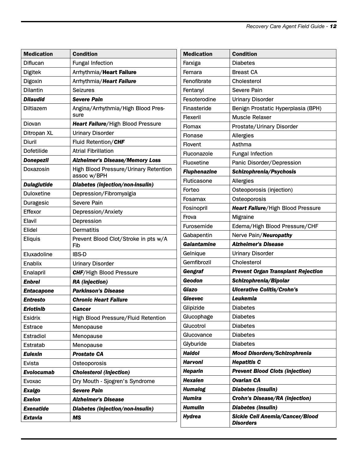| <b>Medication</b>  | <b>Condition</b>                                            | Med          |
|--------------------|-------------------------------------------------------------|--------------|
| Diflucan           | <b>Fungal Infection</b>                                     | Farx         |
| <b>Digitek</b>     | Arrhythmia/Heart Failure                                    | Fem          |
| Digoxin            | Arrhythmia/Heart Failure                                    | Fen          |
| <b>Dilantin</b>    | <b>Seizures</b>                                             | Fent         |
| <b>Dilaudid</b>    | <b>Severe Pain</b>                                          | <b>Fes</b>   |
| Diltiazem          | Angina/Arrhythmia/High Blood Pres-<br>sure                  | Fina<br>Flex |
| Diovan             | Heart Failure/High Blood Pressure                           | Flon         |
| Ditropan XL        | <b>Urinary Disorder</b>                                     | Flon         |
| Diuril             | Fluid Retention/CHF                                         | Flov         |
| Dofetilide         | <b>Atrial Fibrillation</b>                                  | Fluc         |
| <b>Donepezil</b>   | <b>Alzheimer's Disease/Memory Loss</b>                      | Fluo         |
| Doxazosin          | <b>High Blood Pressure/Urinary Retention</b><br>assoc w/BPH | <b>Flup</b>  |
| <b>Dulaglutide</b> | Diabetes (injection/non-insulin)                            | Fluti        |
| Duloxetine         | Depression/Fibromyalgia                                     | Fort         |
| Duragesic          | Severe Pain                                                 | Fosa         |
| Effexor            | Depression/Anxiety                                          | Fosi         |
| Elavil             | Depression                                                  | Frov         |
| Elidel             | Dermatitis                                                  | Furc         |
| <b>Eliquis</b>     | Prevent Blood Clot/Stroke in pts w/A<br>Fib                 | Gab<br>Gala  |
| Eluxadoline        | <b>IBS-D</b>                                                | Gelr         |
| Enablix            | <b>Urinary Disorder</b>                                     | Gen          |
| Enalapril          | <b>CHF/High Blood Pressure</b>                              | Gen          |
| <b>Enbrel</b>      | <b>RA</b> (injection)                                       | Geo          |
| <b>Entacapone</b>  | <b>Parkinson's Disease</b>                                  | <b>Giaz</b>  |
| Entresto           | <b>Chronic Heart Failure</b>                                | Glec         |
| <b>Erlotinib</b>   | Cancer                                                      | Glip         |
| Esidrix            | High Blood Pressure/Fluid Retention                         | Gluc         |
| <b>Estrace</b>     | Menopause                                                   | Gluc         |
| Estradiol          | Menopause                                                   | Gluc         |
| Estratab           | Menopause                                                   | Glyt         |
| <b>Eulexin</b>     | <b>Prostate CA</b>                                          | Hald         |
| Evista             | Osteoporosis                                                | Har          |
| Evolocumab         | <b>Cholesterol (Injection)</b>                              | Hep          |
| Evoxac             | Dry Mouth - Sjogren's Syndrome                              | Hex          |
| <b>Exalgo</b>      | <b>Severe Pain</b>                                          | Hun          |
| <b>Exelon</b>      | <b>Alzheimer's Disease</b>                                  | Hun          |
| <b>Exenatide</b>   | Diabetes (injection/non-insulin)                            | Hun          |
| Extavia            | MS                                                          | <b>Hyd</b>   |

| <b>Medication</b>   | <b>Condition</b>                                    |  |
|---------------------|-----------------------------------------------------|--|
| Farxiga             | <b>Diabetes</b>                                     |  |
| Femara              | <b>Breast CA</b>                                    |  |
| Fenofibrate         | Cholesterol                                         |  |
| Fentanyl            | Severe Pain                                         |  |
| Fesoterodine        | <b>Urinary Disorder</b>                             |  |
| Finasteride         | Benign Prostatic Hyperplasia (BPH)                  |  |
| Flexeril            | <b>Muscle Relaxer</b>                               |  |
| Flomax              | Prostate/Urinary Disorder                           |  |
| Flonase             | Allergies                                           |  |
| Flovent             | Asthma                                              |  |
| Fluconazole         | <b>Fungal Infection</b>                             |  |
| Fluoxetine          | Panic Disorder/Depression                           |  |
| <b>Fluphenazine</b> | Schizophrenia/Psychosis                             |  |
| Fluticasone         | Allergies                                           |  |
| Forteo              | Osteoporosis (injection)                            |  |
| Fosamax             | Osteoporosis                                        |  |
| Fosinopril          | Heart Failure/High Blood Pressure                   |  |
| Frova               | Migraine                                            |  |
| Furosemide          | Edema/High Blood Pressure/CHF                       |  |
| Gabapentin          | Nerve Pain/Neuropathy                               |  |
| Galantamine         | <b>Alzheimer's Disease</b>                          |  |
| Gelnique            | <b>Urinary Disorder</b>                             |  |
| Gemfibrozil         | Cholesterol                                         |  |
| Gengraf             | <b>Prevent Organ Transplant Rejection</b>           |  |
| Geodon              | Schizophrenia/Bipolar                               |  |
| Giazo               | <b>Ulcerative Colitis/Crohn's</b>                   |  |
| Gleevec             | Leukemia                                            |  |
| Glipizide           | <b>Diabetes</b>                                     |  |
| Glucophage          | <b>Diabetes</b>                                     |  |
| Glucotrol           | <b>Diabetes</b>                                     |  |
| Glucovance          | <b>Diabetes</b>                                     |  |
| Glyburide           | <b>Diabetes</b>                                     |  |
| <b>Haldol</b>       | <b>Mood Disorders/Schizophrenia</b>                 |  |
| Harvoni             | <b>Hepatitis C</b>                                  |  |
| <b>Heparin</b>      | <b>Prevent Blood Clots (injection)</b>              |  |
| <b>Hexalen</b>      | <b>Ovarian CA</b>                                   |  |
| <b>Humalog</b>      | Diabetes (insulin)                                  |  |
| Humira              | <b>Crohn's Disease/RA (injection)</b>               |  |
| Humulin             | Diabetes (insulin)                                  |  |
| Hydrea              | Sickle Cell Anemia/Cancer/Blood<br><b>Disorders</b> |  |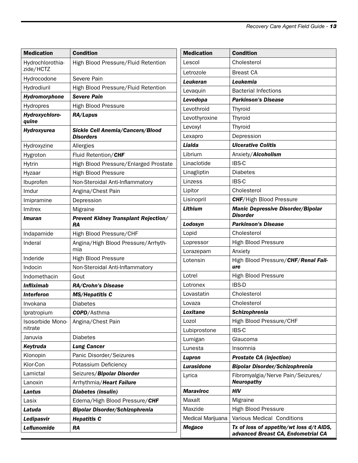| <b>Medication</b>             | <b>Condition</b>                                     | Med          |
|-------------------------------|------------------------------------------------------|--------------|
| Hydrochlorothia-<br>zide/HCTZ | High Blood Pressure/Fluid Retention                  | Leso<br>Letr |
| Hydrocodone                   | Severe Pain                                          | Leul         |
| Hydrodiuril                   | High Blood Pressure/Fluid Retention                  | Leva         |
| Hydromorphone                 | <b>Severe Pain</b>                                   | Levo         |
| Hydropres                     | <b>High Blood Pressure</b>                           | Levo         |
| Hydroxychloro-<br>quine       | RA/Lupus                                             | Levo         |
| Hydroxyurea                   | <b>Sickle Cell Anemia/Cancers/Blood</b><br>Disorders | Levo<br>Lexa |
| Hydroxyzine                   | Allergies                                            | Liak         |
| Hygroton                      | Fluid Retention/CHF                                  | Libri        |
| Hytrin                        | High Blood Pressure/Enlarged Prostate                | Lina         |
| Hyzaar                        | High Blood Pressure                                  | Lina         |
| Ibuprofen                     | Non-Steroidal Anti-Inflammatory                      | Linz         |
| Imdur                         | Angina/Chest Pain                                    | Lipit        |
| Imipramine                    | Depression                                           | Lisir        |
| Imitrex                       | Migraine                                             | Lith         |
| Imuran                        | <b>Prevent Kidney Transplant Rejection/</b><br>RA    | Lod          |
| Indapamide                    | High Blood Pressure/CHF                              | Lopi         |
| Inderal                       | Angina/High Blood Pressure/Arrhyth-<br>mia           | Lopr<br>Lora |
| Inderide                      | <b>High Blood Pressure</b>                           | Lote         |
| Indocin                       | Non-Steroidal Anti-Inflammatory                      |              |
| Indomethacin                  | Gout                                                 | Lotr         |
| <b>Infliximab</b>             | <b>RA/Crohn's Disease</b>                            | Lotr         |
| <b>Interferon</b>             | <b>MS/Hepatitis C</b>                                | Lova         |
| Invokana                      | <b>Diabetes</b>                                      | Lova         |
| Ipratropium                   | <b>COPD</b> /Asthma                                  | Loxi         |
| Isosorbide Mono-<br>nitrate   | Angina/Chest Pain                                    | Lozo<br>Lubi |
| Januvia                       | <b>Diabetes</b>                                      | Lum          |
| Keytruda                      | <b>Lung Cancer</b>                                   | Lune         |
| Klonopin                      | Panic Disorder/Seizures                              | Lupi         |
| Klor-Con                      | Potassium Deficiency                                 | Lura         |
| Lamictal                      | Seizures/Bipolar Disorder                            | Lyric        |
| Lanoxin                       | Arrhythmia/Heart Failure                             |              |
| Lantus                        | Diabetes (insulin)                                   | Mar          |
| Lasix                         | Edema/High Blood Pressure/CHF                        | Max          |
| Latuda                        | <b>Bipolar Disorder/Schizophrenia</b>                | Max          |
| Ledipasvir                    | <b>Hepatitis C</b>                                   | Med          |
| Leflunomide                   | <b>RA</b>                                            | Meg          |

| <b>Medication</b> | <b>Condition</b>                                                               |
|-------------------|--------------------------------------------------------------------------------|
| Lescol            | Cholesterol                                                                    |
| Letrozole         | <b>Breast CA</b>                                                               |
| <b>Leukeran</b>   | Leukemia                                                                       |
| Levaquin          | <b>Bacterial Infections</b>                                                    |
| Levodopa          | <b>Parkinson's Disease</b>                                                     |
| Levothroid        | Thyroid                                                                        |
| Levothyroxine     | Thyroid                                                                        |
| Levoxyl           | Thyroid                                                                        |
| Lexapro           | Depression                                                                     |
| Lialda            | <b>Ulcerative Colitis</b>                                                      |
| Librium           | Anxiety/Alcoholism                                                             |
| Linaclotide       | <b>IBS-C</b>                                                                   |
| Linagliptin       | <b>Diabetes</b>                                                                |
| Linzess           | <b>IBS-C</b>                                                                   |
| Lipitor           | Cholesterol                                                                    |
| Lisinopril        | <b>CHF/High Blood Pressure</b>                                                 |
| Lithium           | <b>Manic Depressive Disorder/Bipolar</b><br><b>Disorder</b>                    |
| Lodosyn           | <b>Parkinson's Disease</b>                                                     |
| Lopid             | Cholesterol                                                                    |
| Lopressor         | <b>High Blood Pressure</b>                                                     |
| Lorazepam         | Anxiety                                                                        |
| Lotensin          | High Blood Pressure/CHF/Renal Fail-<br>ure                                     |
| Lotrel            | <b>High Blood Pressure</b>                                                     |
| Lotronex          | <b>IBS-D</b>                                                                   |
| Lovastatin        | Cholesterol                                                                    |
| Lovaza            | Cholesterol                                                                    |
| Loxitane          | <b>Schizophrenia</b>                                                           |
| Lozol             | High Blood Pressure/CHF                                                        |
| Lubiprostone      | <b>IBS-C</b>                                                                   |
| Lumigan           | Glaucoma                                                                       |
| Lunesta           | Insomnia                                                                       |
| Lupron            | <b>Prostate CA (injection)</b>                                                 |
| Lurasidone        | <b>Bipolar Disorder/Schizophrenia</b>                                          |
| Lyrica            | Fibromyalgia/Nerve Pain/Seizures/<br><b>Neuropathy</b>                         |
| <b>Maraviroc</b>  | HIV                                                                            |
| Maxalt            | Migraine                                                                       |
| Maxzide           | High Blood Pressure                                                            |
| Medical Marijuana | Various Medical Conditions                                                     |
| Megace            | Tx of loss of appetite/wt loss d/t AIDS,<br>advanced Breast CA, Endometrial CA |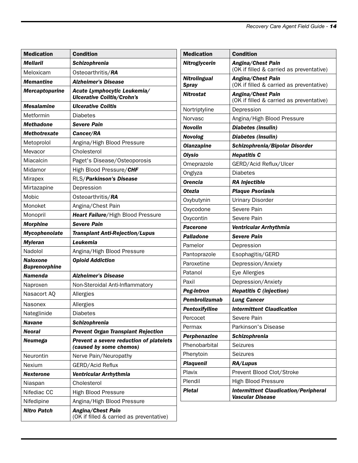| <b>Medication</b>     | <b>Condition</b>                                                 | <b>Medication</b>                   | <b>Condition</b>                                              |
|-----------------------|------------------------------------------------------------------|-------------------------------------|---------------------------------------------------------------|
| <b>Mellaril</b>       | Schizophrenia                                                    | Nitroglycerin                       | Angina/Chest Pain                                             |
| Meloxicam             | Osteoarthritis/RA                                                |                                     | (OK if filled & carried as preventative)                      |
| <b>Memantine</b>      | <b>Alzheimer's Disease</b>                                       | <b>Nitrolingual</b><br><b>Spray</b> | Angina/Chest Pain<br>(OK if filled & carried as preventative) |
| <b>Mercaptopurine</b> | Acute Lymphocytic Leukemia/<br><b>Ulcerative Colitis/Crohn's</b> | <b>Nitrostat</b>                    | Angina/Chest Pain<br>(OK if filled & carried as preventative) |
| <b>Mesalamine</b>     | <b>Ulcerative Colitis</b>                                        | Nortriptyline                       | Depression                                                    |
| Metformin             | <b>Diabetes</b>                                                  | Norvasc                             | Angina/High Blood Pressure                                    |
| <b>Methadone</b>      | <b>Severe Pain</b>                                               | <b>Novolin</b>                      | Diabetes (insulin)                                            |
| <b>Methotrexate</b>   | Cancer/RA                                                        | <b>Novolog</b>                      | Diabetes (insulin)                                            |
| Metoprolol            | Angina/High Blood Pressure                                       | <b>Olanzapine</b>                   | Schizophrenia/Bipolar Disorder                                |
| Mevacor               | Cholesterol                                                      | <b>Olysio</b>                       | <b>Hepatitis C</b>                                            |
| Miacalcin             | Paget's Disease/Osteoporosis                                     | Omeprazole                          | GERD/Acid Reflux/Ulcer                                        |
| Midamor               | High Blood Pressure/CHF                                          | Onglyza                             | <b>Diabetes</b>                                               |
| <b>Mirapex</b>        | RLS/Parkinson's Disease                                          | <b>Orencia</b>                      | <b>RA Injectible</b>                                          |
| Mirtazapine           | Depression                                                       | <b>Otezla</b>                       | <b>Plaque Psoriasis</b>                                       |
| Mobic                 | Osteoarthritis/RA                                                | Oxybutynin                          | <b>Urinary Disorder</b>                                       |
| Monoket               | Angina/Chest Pain                                                | Oxycodone                           | Severe Pain                                                   |
| Monopril              | Heart Failure/High Blood Pressure                                | Oxycontin                           | Severe Pain                                                   |
| <b>Morphine</b>       | <b>Severe Pain</b>                                               | <b>Pacerone</b>                     | Ventricular Arrhythmia                                        |
| Mycophenolate         | <b>Transplant Anti-Rejection/Lupus</b>                           | <b>Palladone</b>                    | <b>Severe Pain</b>                                            |
| <b>Myleran</b>        | Leukemia                                                         | Pamelor                             | Depression                                                    |
| Nadolol               | Angina/High Blood Pressure                                       | Pantoprazole                        | Esophagitis/GERD                                              |
| <b>Naloxone</b>       | <b>Opioid Addiction</b>                                          | Paroxetine                          | Depression/Anxiety                                            |
| <b>Buprenorphine</b>  |                                                                  |                                     |                                                               |
| <b>Namenda</b>        | <b>Alzheimer's Disease</b>                                       | Patanol<br>Paxil                    | Eye Allergies                                                 |
| Naproxen              | Non-Steroidal Anti-Inflammatory                                  |                                     | Depression/Anxiety                                            |
| Nasacort AQ           | Allergies                                                        | <b>Peg-Intron</b>                   | <b>Hepatitis C (injection)</b>                                |
| Nasonex               | Allergies                                                        | Pembrolizumab                       | <b>Lung Cancer</b>                                            |
| Nateglinide           | <b>Diabetes</b>                                                  | Pentoxifylline                      | <b>Intermittent Claudication</b>                              |
| <b>Navane</b>         | Schizophrenia                                                    | Percocet                            | Severe Pain                                                   |
| <b>Neoral</b>         | <b>Prevent Organ Transplant Rejection</b>                        | Permax                              | Parkinson's Disease                                           |
| <b>Neumega</b>        | Prevent a severe reduction of platelets                          | Perphenazine                        | Schizophrenia                                                 |
|                       | (caused by some chemos)                                          | Phenobarbital                       | Seizures                                                      |
| Neurontin             | Nerve Pain/Neuropathy                                            | Phenytoin                           | Seizures                                                      |
| Nexium                | GERD/Acid Reflux                                                 | <b>Plaquenil</b>                    | RA/Lupus                                                      |
| <b>Nexterone</b>      | Ventricular Arrhythmia                                           | Plavix                              | Prevent Blood Clot/Stroke                                     |
| Niaspan               | Cholesterol                                                      | Plendil                             | <b>High Blood Pressure</b>                                    |
| Nifediac CC           | High Blood Pressure                                              | <b>Pletal</b>                       | <b>Intermittent Claudication/Peripheral</b>                   |
| Nifedipine            | Angina/High Blood Pressure                                       |                                     | <b>Vascular Disease</b>                                       |
| <b>Nitro Patch</b>    | Angina/Chest Pain<br>(OK if filled & carried as preventative)    |                                     |                                                               |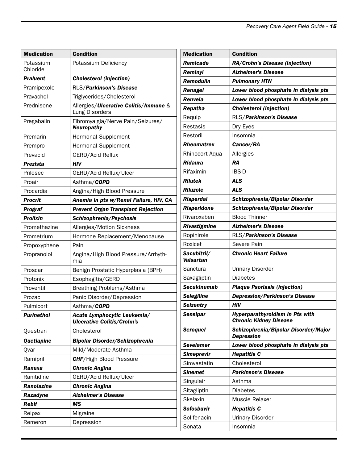| <b>Medication</b> | <b>Condition</b>                                                 | <b>Medication</b>               | <b>Condition</b>                                                 |
|-------------------|------------------------------------------------------------------|---------------------------------|------------------------------------------------------------------|
| Potassium         | Potassium Deficiency                                             | Remicade                        | RA/Crohn's Disease (injection)                                   |
| Chloride          |                                                                  | Reminyl                         | <b>Alzheimer's Disease</b>                                       |
| <b>Praluent</b>   | <b>Cholesterol (injection)</b>                                   | <b>Remodulin</b>                | <b>Pulmonary HTN</b>                                             |
| Pramipexole       | RLS/Parkinson's Disease                                          | Renagel                         | Lower blood phosphate in dialysis pts                            |
| Pravachol         | Triglycerides/Cholesterol                                        | Renvela                         | Lower blood phosphate in dialysis pts                            |
| Prednisone        | Allergies/Ulcerative Colitis/Immune &<br>Lung Disorders          | Repatha                         | <b>Cholesterol (injection)</b>                                   |
| Pregabalin        | Fibromyalgia/Nerve Pain/Seizures/                                | Requip                          | RLS/Parkinson's Disease                                          |
|                   | <b>Neuropathy</b>                                                | <b>Restasis</b>                 | Dry Eyes                                                         |
| Premarin          | Hormonal Supplement                                              | Restoril                        | Insomnia                                                         |
| Prempro           | Hormonal Supplement                                              | <b>Rheumatrex</b>               | Cancer/RA                                                        |
| Prevacid          | GERD/Acid Reflux                                                 | Rhinocort Aqua                  | Allergies                                                        |
| <b>Prezista</b>   | <b>HIV</b>                                                       | <b>Ridaura</b>                  | <b>RA</b>                                                        |
| Prilosec          | GERD/Acid Reflux/Ulcer                                           | Rifaximin                       | <b>IBS-D</b>                                                     |
| Proair            | Asthma/COPD                                                      | <b>Rilutek</b>                  | <b>ALS</b>                                                       |
| Procardia         | Angina/High Blood Pressure                                       | <b>Riluzole</b>                 | <b>ALS</b>                                                       |
| <b>Procrit</b>    | Anemia in pts w/Renal Failure, HIV, CA                           | <b>Risperdal</b>                | Schizophrenia/Bipolar Disorder                                   |
| Prograf           | <b>Prevent Organ Transplant Rejection</b>                        | <b>Risperidone</b>              | Schizophrenia/Bipolar Disorder                                   |
| <b>Prolixin</b>   | Schizophrenia/Psychosis                                          | Rivaroxaben                     | <b>Blood Thinner</b>                                             |
| Promethazine      | Allergies/Motion Sickness                                        | Rivastigmine                    | <b>Alzheimer's Disease</b>                                       |
| Prometrium        | Hormone Replacement/Menopause                                    | Ropinirole                      | RLS/Parkinson's Disease                                          |
| Propoxyphene      | Pain                                                             | Roxicet                         | Severe Pain                                                      |
| Propranolol       | Angina/High Blood Pressure/Arrhyth-<br>mia                       | Sacubitril/<br><b>Valsartan</b> | <b>Chronic Heart Failure</b>                                     |
| Proscar           | Benign Prostatic Hyperplasia (BPH)                               | Sanctura                        | <b>Urinary Disorder</b>                                          |
| Protonix          | Esophagitis/GERD                                                 | Saxagliptin                     | <b>Diabetes</b>                                                  |
| Proventil         | Breathing Problems/Asthma                                        | <b>Secukinumab</b>              | <b>Plaque Psoriasis (injection)</b>                              |
| Prozac            | Panic Disorder/Depression                                        | <b>Selegiline</b>               | <b>Depression/Parkinson's Disease</b>                            |
| Pulmicort         | Asthma/COPD                                                      | <b>Selzentry</b>                | HIV                                                              |
| <b>Purinethol</b> | Acute Lymphocytic Leukemia/<br><b>Ulcerative Colitis/Crohn's</b> | <b>Sensipar</b>                 | Hyperparathyroidism in Pts with<br><b>Chronic Kidney Disease</b> |
| Questran          | Cholesterol                                                      | <b>Seroquel</b>                 | Schizophrenia/Bipolar Disorder/Major<br><b>Depression</b>        |
| Quetiapine        | <b>Bipolar Disorder/Schizophrenia</b>                            | <b>Sevelamer</b>                | Lower blood phosphate in dialysis pts                            |
| Qvar              | Mild/Moderate Asthma                                             | <b>Simeprevir</b>               | <b>Hepatitis C</b>                                               |
| Ramipril          | <b>CHF/High Blood Pressure</b>                                   | Simvastatin                     | Cholesterol                                                      |
| Ranexa            | <b>Chronic Angina</b>                                            | <b>Sinemet</b>                  | <b>Parkinson's Disease</b>                                       |
| Ranitidine        | GERD/Acid Reflux/Ulcer                                           | Singulair                       | Asthma                                                           |
| Ranolazine        | <b>Chronic Angina</b>                                            | Sitagliptin                     | <b>Diabetes</b>                                                  |
| Razadyne          | <b>Alzheimer's Disease</b>                                       | Skelaxin                        | Muscle Relaxer                                                   |
| <b>Rebif</b>      | <b>MS</b>                                                        | <b>Sofosbuvir</b>               | <b>Hepatitis C</b>                                               |
| Relpax            | Migraine                                                         | Solifenacin                     | <b>Urinary Disorder</b>                                          |
| Remeron           | Depression                                                       | Sonata                          | Insomnia                                                         |